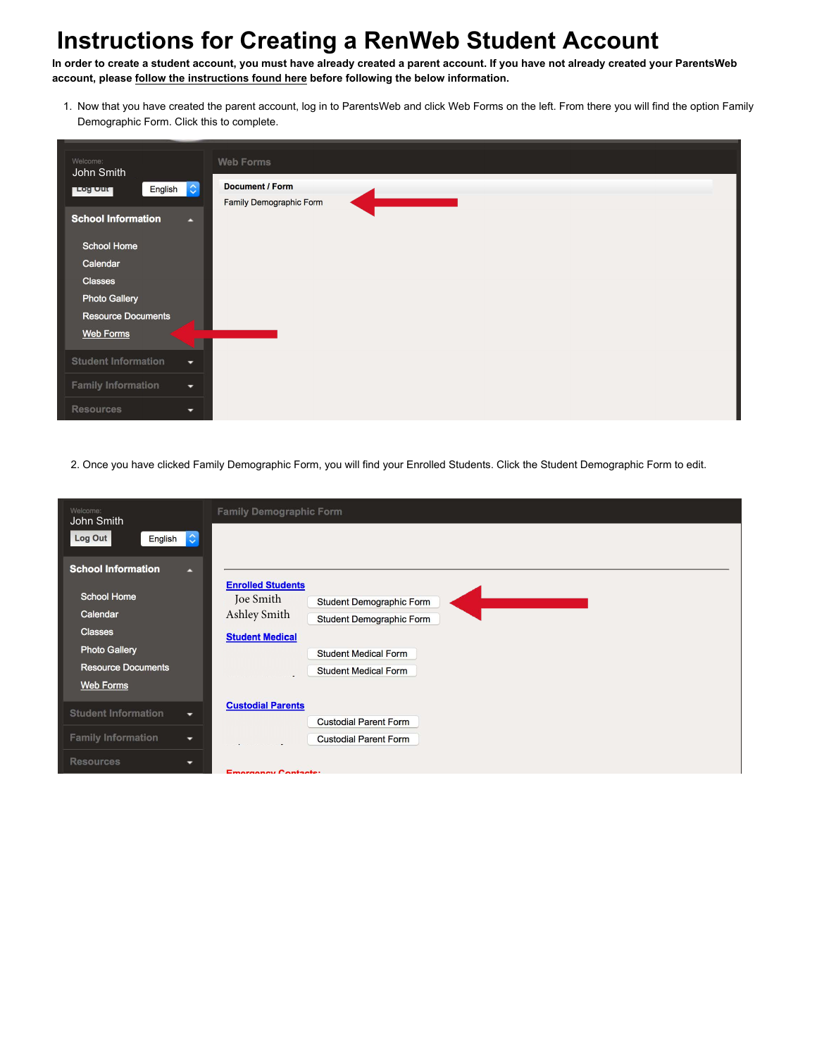**In order to create a student account, you must have already created a parent account. If you have not already created your ParentsWeb account, please [follow the instructions found here](https://www.liberty.edu/media/9910/renweb/LCAAccessingParentsWeb.pdf) before following the below information.**

1. Now that you have created the parent account, log in to ParentsWeb and click Web Forms on the left. From there you will find the option Family Demographic Form. Click this to complete.

| Welcome:<br>John Smith                                | <b>Web Forms</b>        |
|-------------------------------------------------------|-------------------------|
| English C<br><b>Log Out</b>                           | <b>Document / Form</b>  |
| <b>School Information</b><br>E                        | Family Demographic Form |
| <b>School Home</b>                                    |                         |
| Calendar                                              |                         |
| Classes                                               |                         |
| <b>Photo Gallery</b>                                  |                         |
| <b>Resource Documents</b>                             |                         |
| <b>Web Forms</b>                                      |                         |
| <b>Student Information</b><br>٠                       |                         |
| <b>Family Information</b><br>$\overline{\phantom{a}}$ |                         |
| <b>Resources</b><br>۰                                 |                         |

2. Once you have clicked Family Demographic Form, you will find your Enrolled Students. Click the Student Demographic Form to edit.

| Welcome:<br>John Smith                   | <b>Family Demographic Form</b>           |
|------------------------------------------|------------------------------------------|
| $ \diamond\rangle$<br>Log Out<br>English |                                          |
| <b>School Information</b><br>д           |                                          |
|                                          | <b>Enrolled Students</b>                 |
| <b>School Home</b>                       | Joe Smith<br>Student Demographic Form    |
| Calendar                                 | Ashley Smith<br>Student Demographic Form |
| <b>Classes</b>                           | <b>Student Medical</b>                   |
| <b>Photo Gallery</b>                     | <b>Student Medical Form</b>              |
| <b>Resource Documents</b>                | <b>Student Medical Form</b>              |
| <b>Web Forms</b>                         |                                          |
|                                          |                                          |
| <b>Student Information</b><br>۰.         | <b>Custodial Parents</b>                 |
|                                          | <b>Custodial Parent Form</b>             |
| <b>Family Information</b><br>۰           | <b>Custodial Parent Form</b>             |
| <b>Resources</b><br>-                    | <b>Emproprise Contacte:</b>              |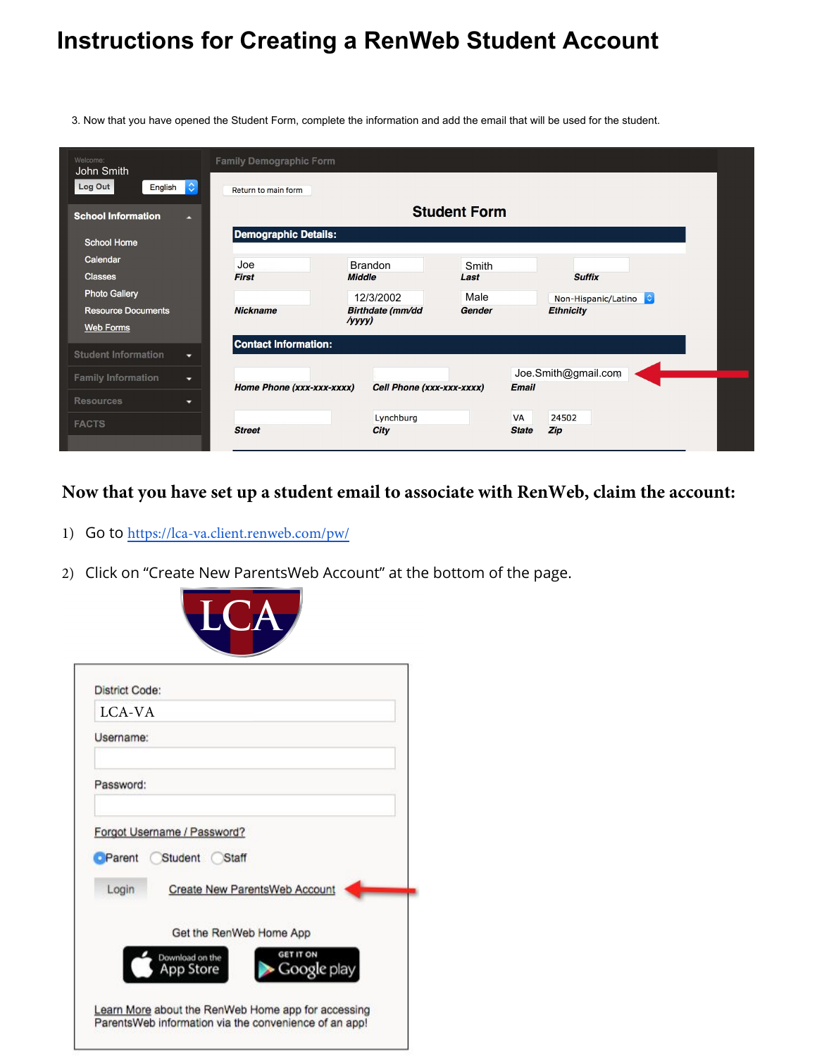3. Now that you have opened the Student Form, complete the information and add the email that will be used for the student.

| Welcome:<br>John Smith             | <b>Family Demographic Form</b> |                     |                           |        |              |                     |  |
|------------------------------------|--------------------------------|---------------------|---------------------------|--------|--------------|---------------------|--|
| Log Out<br>$ \diamond $<br>English | Return to main form            |                     |                           |        |              |                     |  |
| <b>School Information</b><br>п     |                                | <b>Student Form</b> |                           |        |              |                     |  |
| <b>School Home</b>                 | <b>Demographic Details:</b>    |                     |                           |        |              |                     |  |
| Calendar                           | Joe                            |                     | <b>Brandon</b>            | Smith  |              |                     |  |
| <b>Classes</b>                     | <b>First</b>                   | <b>Middle</b>       |                           | Last   |              | <b>Suffix</b>       |  |
| <b>Photo Gallery</b>               |                                |                     | 12/3/2002                 | Male   |              | Non-Hispanic/Latino |  |
| <b>Resource Documents</b>          | <b>Nickname</b>                |                     | <b>Birthdate</b> (mm/dd   | Gender |              | <b>Ethnicity</b>    |  |
| Web Forms                          |                                | $\gamma$ yyyy $)$   |                           |        |              |                     |  |
| <b>Student Information</b><br>۰    | <b>Contact Information:</b>    |                     |                           |        |              |                     |  |
|                                    |                                |                     |                           |        |              | Joe.Smith@gmail.com |  |
| <b>Family Information</b><br>▼     | Home Phone (xxx-xxx-xxxx)      |                     | Cell Phone (xxx-xxx-xxxx) |        | <b>Email</b> |                     |  |
| <b>Resources</b><br>۰              |                                |                     |                           |        |              |                     |  |
|                                    |                                |                     | Lynchburg                 |        | <b>VA</b>    | 24502               |  |
| <b>FACTS</b>                       | <b>Street</b>                  |                     | City                      |        | <b>State</b> | Zip                 |  |

**Now that you have set up a student email to associate with RenWeb, claim the account:**

- 1) Go to https://lca-va.client.renweb.com/pw/
- 2) Click on "Create New ParentsWeb Account" at the bottom of the page.

| <b>District Code:</b> |                                      |
|-----------------------|--------------------------------------|
| LCA-VA                |                                      |
| Username:             |                                      |
| Password:             |                                      |
|                       | Forgot Username / Password?          |
| Parent                | Student Staff                        |
| Login                 | <b>Create New ParentsWeb Account</b> |
|                       | Get the RenWeb Home App              |
|                       | <b>GET IT ON</b><br>Download on the  |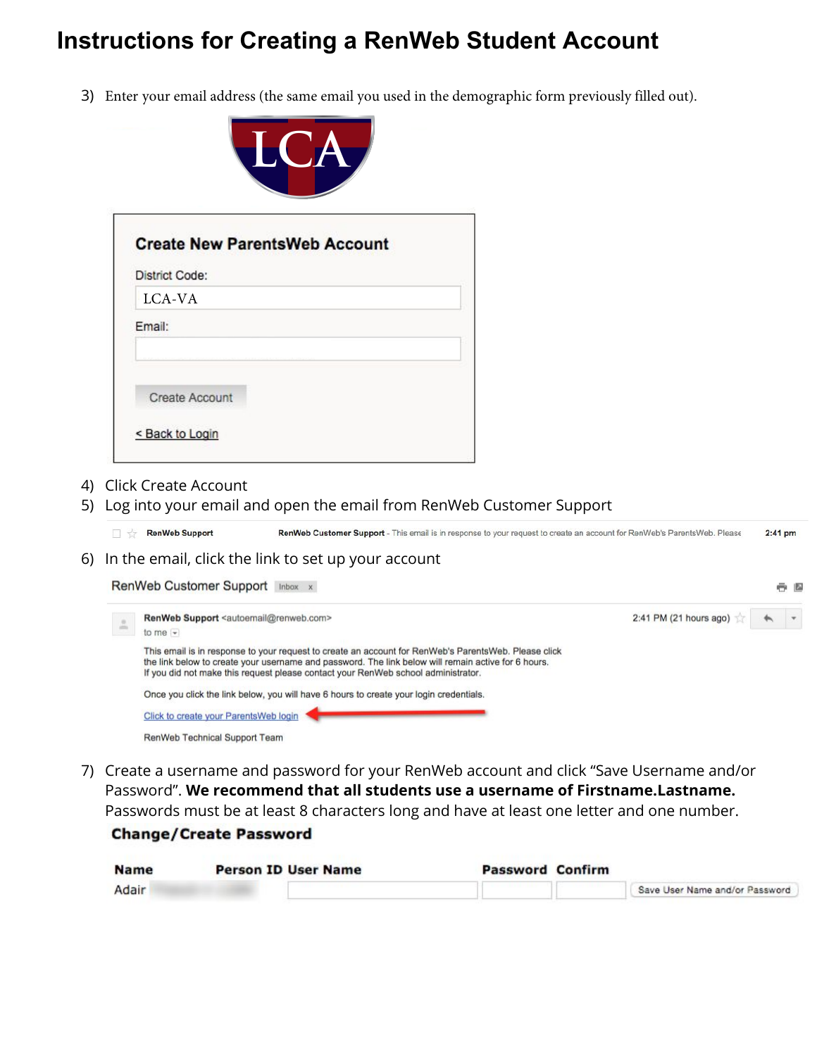3) Enter your email address (the same email you used in the demographic form previously filled out).



| <b>District Code:</b> |  |
|-----------------------|--|
| LCA-VA                |  |
| Email:                |  |
|                       |  |
| <b>Create Account</b> |  |
|                       |  |

- 4) Click Create Account
- 5) Log into your email and open the email from RenWeb Customer Support

RenWeb Support RenWeb Customer Support - This email is in response to your request to create an account for RenWeb's ParentsWeb. Please  $2:41$  pm

6) In the email, click the link to set up your account

| RenWeb Customer Support Inbox x |                                                                                                                                                                                                                                                                                                  |                                   |  |  |
|---------------------------------|--------------------------------------------------------------------------------------------------------------------------------------------------------------------------------------------------------------------------------------------------------------------------------------------------|-----------------------------------|--|--|
| $\Delta$                        | RenWeb Support <autoemail@renweb.com><br/>to me <math>-</math></autoemail@renweb.com>                                                                                                                                                                                                            | 2:41 PM (21 hours ago) $\sqrt{ }$ |  |  |
|                                 | This email is in response to your request to create an account for RenWeb's ParentsWeb. Please click<br>the link below to create your username and password. The link below will remain active for 6 hours.<br>If you did not make this request please contact your RenWeb school administrator. |                                   |  |  |
|                                 | Once you click the link below, you will have 6 hours to create your login credentials.                                                                                                                                                                                                           |                                   |  |  |
|                                 | Click to create your ParentsWeb login                                                                                                                                                                                                                                                            |                                   |  |  |
|                                 | RenWeb Technical Support Team                                                                                                                                                                                                                                                                    |                                   |  |  |

7) Create a username and password for your RenWeb account and click "Save Username and/or Password". **We recommend that all students use a username of Firstname.Lastname.** Passwords must be at least 8 characters long and have at least one letter and one number.

#### **Change/Create Password**

| <b>Name</b> | <b>Person ID User Name</b> | <b>Password Confirm</b> |                                |
|-------------|----------------------------|-------------------------|--------------------------------|
| Adair       |                            |                         | Save User Name and/or Password |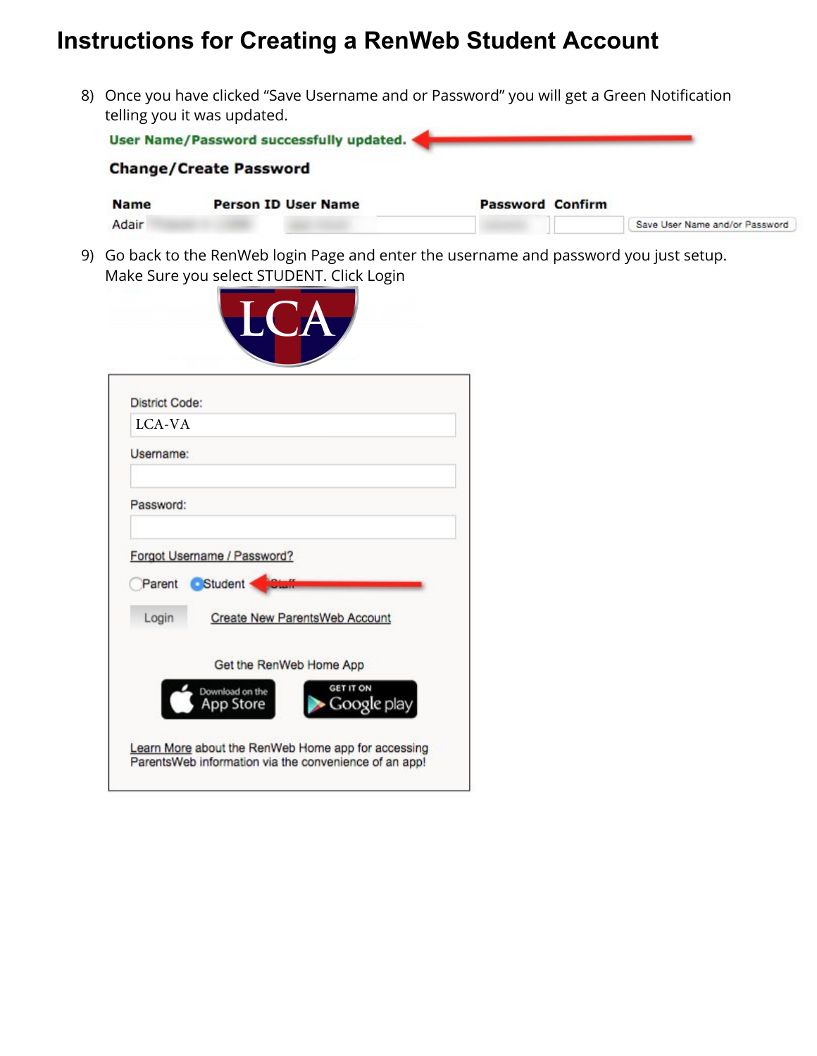8) Once you have clicked "Save Username and or Password" you will get a Green Notification telling you it was updated.

|             | User Name/Password successfully updated. |                         |                                |
|-------------|------------------------------------------|-------------------------|--------------------------------|
|             | <b>Change/Create Password</b>            |                         |                                |
| <b>Name</b> | <b>Person ID User Name</b>               | <b>Password Confirm</b> |                                |
| Adair       |                                          |                         | Save User Name and/or Password |

9) Go back to the RenWeb login Page and enter the username and password you just setup. Make Sure you select STUDENT. Click Login